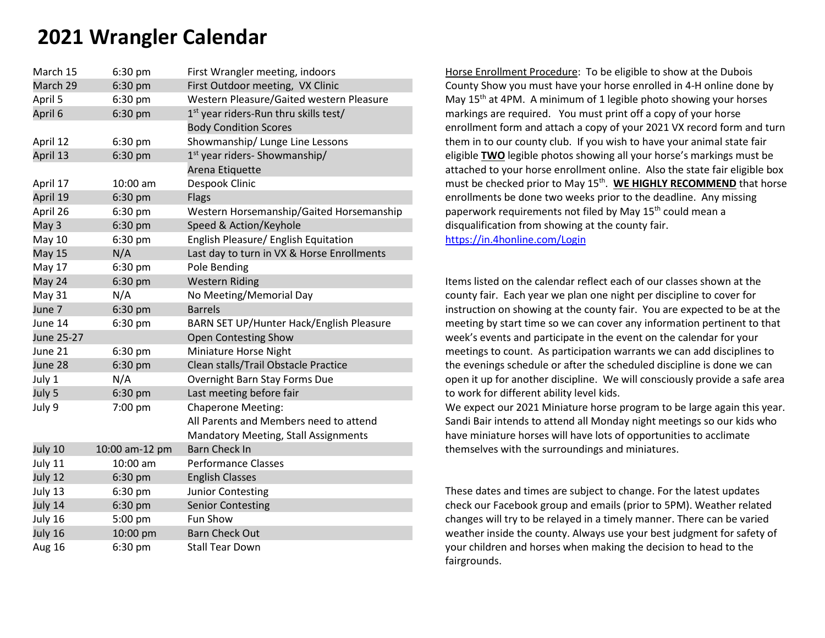# **2021 Wrangler Calendar**

| March 15      | 6:30 pm        | First Wrangler meeting, indoors                   |
|---------------|----------------|---------------------------------------------------|
| March 29      | 6:30 pm        | First Outdoor meeting, VX Clinic                  |
| April 5       | 6:30 pm        | Western Pleasure/Gaited western Pleasure          |
| April 6       | 6:30 pm        | 1 <sup>st</sup> year riders-Run thru skills test/ |
|               |                | <b>Body Condition Scores</b>                      |
| April 12      | 6:30 pm        | Showmanship/ Lunge Line Lessons                   |
| April 13      | 6:30 pm        | 1 <sup>st</sup> year riders- Showmanship/         |
|               |                | Arena Etiquette                                   |
| April 17      | 10:00 am       | Despook Clinic                                    |
| April 19      | 6:30 pm        | <b>Flags</b>                                      |
| April 26      | 6:30 pm        | Western Horsemanship/Gaited Horsemanship          |
| May 3         | 6:30 pm        | Speed & Action/Keyhole                            |
| <b>May 10</b> | 6:30 pm        | English Pleasure/ English Equitation              |
| <b>May 15</b> | N/A            | Last day to turn in VX & Horse Enrollments        |
| May 17        | 6:30 pm        | Pole Bending                                      |
| May 24        | 6:30 pm        | <b>Western Riding</b>                             |
| <b>May 31</b> | N/A            | No Meeting/Memorial Day                           |
| June 7        | 6:30 pm        | <b>Barrels</b>                                    |
| June 14       | 6:30 pm        | BARN SET UP/Hunter Hack/English Pleasure          |
| June 25-27    |                | <b>Open Contesting Show</b>                       |
| June 21       | 6:30 pm        | Miniature Horse Night                             |
| June 28       | 6:30 pm        | Clean stalls/Trail Obstacle Practice              |
| July 1        | N/A            | Overnight Barn Stay Forms Due                     |
| July 5        | 6:30 pm        | Last meeting before fair                          |
| July 9        | 7:00 pm        | <b>Chaperone Meeting:</b>                         |
|               |                | All Parents and Members need to attend            |
|               |                | <b>Mandatory Meeting, Stall Assignments</b>       |
| July 10       | 10:00 am-12 pm | <b>Barn Check In</b>                              |
| July 11       | 10:00 am       | <b>Performance Classes</b>                        |
| July 12       | 6:30 pm        | <b>English Classes</b>                            |
| July 13       | 6:30 pm        | <b>Junior Contesting</b>                          |
| July 14       | 6:30 pm        | <b>Senior Contesting</b>                          |
| July 16       | 5:00 pm        | Fun Show                                          |
| July 16       | 10:00 pm       | <b>Barn Check Out</b>                             |
| Aug 16        | 6:30 pm        | <b>Stall Tear Down</b>                            |

Horse Enrollment Procedure: To be eligible to show at the Dubois County Show you must have your horse enrolled in 4-H online done by May  $15<sup>th</sup>$  at 4PM. A minimum of 1 legible photo showing your horses markings are required. You must print off a copy of your horse enrollment form and attach a copy of your 2021 VX record form and turn them in to our county club. If you wish to have your animal state fair eligible **TWO** legible photos showing all your horse's markings must be attached to your horse enrollment online. Also the state fair eligible box must be checked prior to May 15<sup>th</sup>. WE HIGHLY RECOMMEND that horse enrollments be done two weeks prior to the deadline. Any missing paperwork requirements not filed by May 15<sup>th</sup> could mean a disqualification from showing at the county fair. <https://in.4honline.com/Login>

Items listed on the calendar reflect each of our classes shown at the county fair. Each year we plan one night per discipline to cover for instruction on showing at the county fair. You are expected to be at the meeting by start time so we can cover any information pertinent to that week's events and participate in the event on the calendar for your meetings to count. As participation warrants we can add disciplines to the evenings schedule or after the scheduled discipline is done we can open it up for another discipline. We will consciously provide a safe area to work for different ability level kids.

We expect our 2021 Miniature horse program to be large again this year. Sandi Bair intends to attend all Monday night meetings so our kids who have miniature horses will have lots of opportunities to acclimate themselves with the surroundings and miniatures.

These dates and times are subject to change. For the latest updates check our Facebook group and emails (prior to 5PM). Weather related changes will try to be relayed in a timely manner. There can be varied weather inside the county. Always use your best judgment for safety of your children and horses when making the decision to head to the fairgrounds.